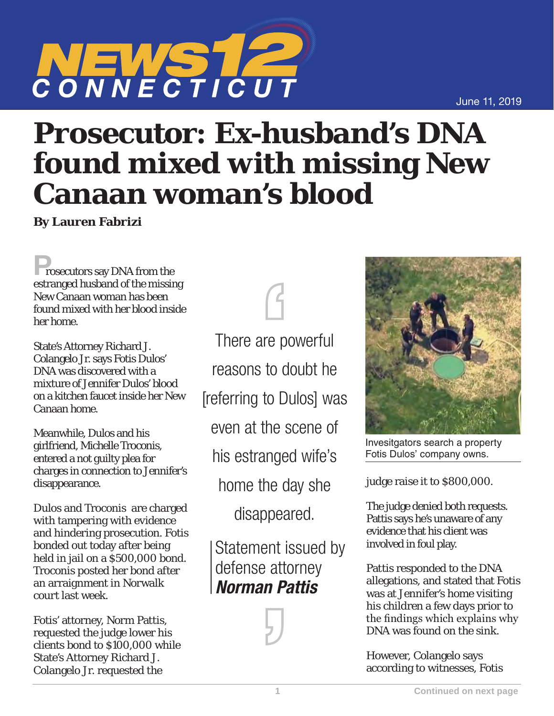## **1 Continued on next page**

June 11, 2019

## CONNECTICUT

## **Prosecutor: Ex-husband's DNA found mixed with missing New Canaan woman's blood**

**By Lauren Fabrizi**

**Prosecutors say DNA from the** estranged husband of the missing New Canaan woman has been found mixed with her blood inside her home.

State's Attorney Richard J. Colangelo Jr. says Fotis Dulos' DNA was discovered with a mixture of Jennifer Dulos' blood on a kitchen faucet inside her New Canaan home.

Meanwhile, Dulos and his girlfriend, Michelle Troconis, entered a not guilty plea for charges in connection to Jennifer's disappearance.

Dulos and Troconis are charged with tampering with evidence and hindering prosecution. Fotis bonded out today after being held in jail on a \$500,000 bond. Troconis posted her bond after an arraignment in Norwalk court last week.

Fotis' attorney, Norm Pattis, requested the judge lower his clients bond to \$100,000 while State's Attorney Richard J. Colangelo Jr. requested the

There are powerful reasons to doubt he [referring to Dulos] was even at the scene of his estranged wife's home the day she disappeared.

Statement issued by defense attorney *Norman Pattis*





Invesitgators search a property Fotis Dulos' company owns.

judge raise it to \$800,000.

The judge denied both requests. Pattis says he's unaware of any evidence that his client was involved in foul play.

Pattis responded to the DNA allegations, and stated that Fotis was at Jennifer's home visiting his children a few days prior to the findings which explains why DNA was found on the sink.

However, Colangelo says according to witnesses, Fotis